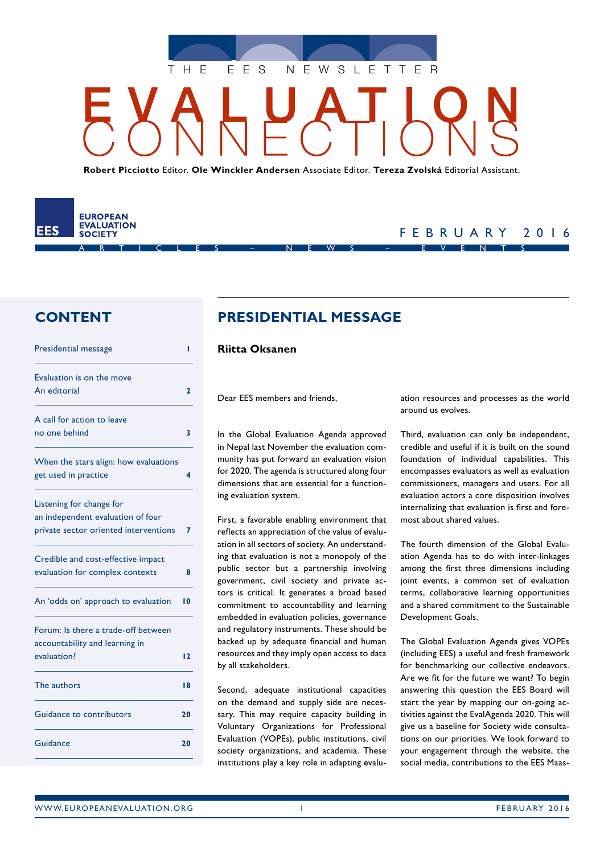

**Robert Picciotto** Editor. **Ole Winckler Andersen** Associate Editor. **Tereza Zvolská** Editorial Assistant.

ARTICLES – NEWS – EVENTS

**EUROPEAN EVALUATION** FFS **SOCIETY** 

# FEBRUARY 2016

# **CONTENT**

| Presidential message                                                                                   | ı            |
|--------------------------------------------------------------------------------------------------------|--------------|
| Evaluation is on the move<br>An editorial                                                              | $\mathbf{2}$ |
| A call for action to leave<br>no one behind                                                            | 3            |
| When the stars align: how evaluations<br>get used in practice                                          | 4            |
| Listening for change for<br>an independent evaluation of four<br>private sector oriented interventions | 7            |
| Credible and cost-effective impact<br>evaluation for complex contexts                                  | 8            |
| An 'odds on' approach to evaluation                                                                    | 10           |
| Forum: Is there a trade-off between<br>accountability and learning in<br>evaluation?                   | 12           |
| The authors                                                                                            | 18           |
| Guidance to contributors                                                                               | 20           |
| Guidance                                                                                               | 20           |

# **PRESIDENTIAL MESSAGE**

#### **Riitta Oksanen**

Dear EES members and friends,

In the Global Evaluation Agenda approved in Nepal last November the evaluation community has put forward an evaluation vision for 2020. The agenda is structured along four dimensions that are essential for a functioning evaluation system.

First, a favorable enabling environment that reflects an appreciation of the value of evaluation in all sectors of society. An understanding that evaluation is not a monopoly of the public sector but a partnership involving government, civil society and private actors is critical. It generates a broad based commitment to accountability and learning embedded in evaluation policies, governance and regulatory instruments. These should be backed up by adequate financial and human resources and they imply open access to data by all stakeholders.

Second, adequate institutional capacities on the demand and supply side are necessary. This may require capacity building in Voluntary Organizations for Professional Evaluation (VOPEs), public institutions, civil society organizations, and academia. These institutions play a key role in adapting evaluation resources and processes as the world around us evolves.

Third, evaluation can only be independent, credible and useful if it is built on the sound foundation of individual capabilities. This encompasses evaluators as well as evaluation commissioners, managers and users. For all evaluation actors a core disposition involves internalizing that evaluation is first and foremost about shared values.

The fourth dimension of the Global Evaluation Agenda has to do with inter-linkages among the first three dimensions including joint events, a common set of evaluation terms, collaborative learning opportunities and a shared commitment to the Sustainable Development Goals.

The Global Evaluation Agenda gives VOPEs (including EES) a useful and fresh framework for benchmarking our collective endeavors. Are we fit for the future we want? To begin answering this question the EES Board will start the year by mapping our on-going activities against the EvalAgenda 2020. This will give us a baseline for Society wide consultations on our priorities. We look forward to your engagement through the website, the social media, contributions to the EES Maas-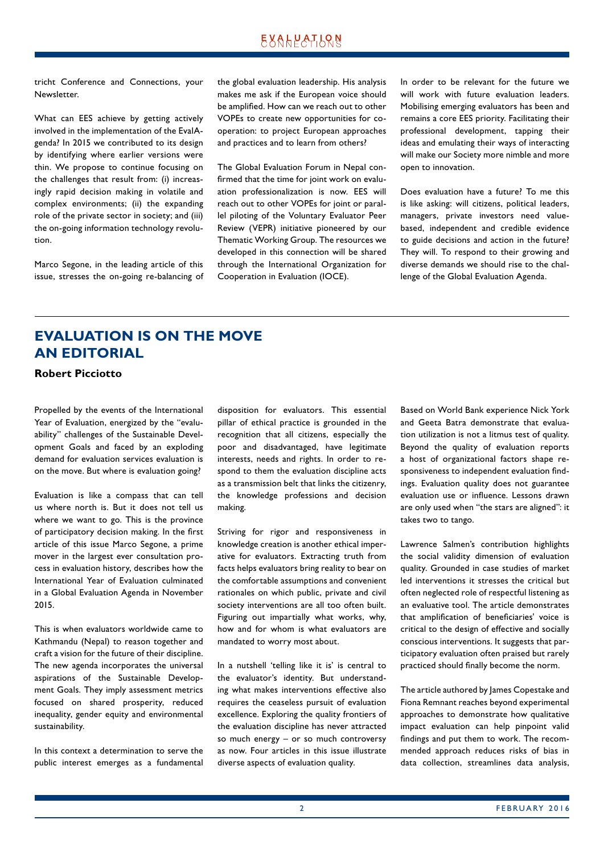# **EXALPATLQN**

<span id="page-1-0"></span>tricht Conference and Connections, your Newsletter.

What can EES achieve by getting actively involved in the implementation of the EvalAgenda? In 2015 we contributed to its design by identifying where earlier versions were thin. We propose to continue focusing on the challenges that result from: (i) increasingly rapid decision making in volatile and complex environments; (ii) the expanding role of the private sector in society; and (iii) the on-going information technology revolution.

Marco Segone, in the leading article of this issue, stresses the on-going re-balancing of the global evaluation leadership. His analysis makes me ask if the European voice should be amplified. How can we reach out to other VOPEs to create new opportunities for cooperation: to project European approaches and practices and to learn from others?

The Global Evaluation Forum in Nepal confirmed that the time for joint work on evaluation professionalization is now. EES will reach out to other VOPEs for joint or parallel piloting of the Voluntary Evaluator Peer Review (VEPR) initiative pioneered by our Thematic Working Group. The resources we developed in this connection will be shared through the International Organization for Cooperation in Evaluation (IOCE).

In order to be relevant for the future we will work with future evaluation leaders. Mobilising emerging evaluators has been and remains a core EES priority. Facilitating their professional development, tapping their ideas and emulating their ways of interacting will make our Society more nimble and more open to innovation.

Does evaluation have a future? To me this is like asking: will citizens, political leaders, managers, private investors need valuebased, independent and credible evidence to guide decisions and action in the future? They will. To respond to their growing and diverse demands we should rise to the challenge of the Global Evaluation Agenda.

# **EVALUATION IS ON THE MOVE AN EDITORIAL**

**Robert Picciotto**

Propelled by the events of the International Year of Evaluation, energized by the "evaluability" challenges of the Sustainable Development Goals and faced by an exploding demand for evaluation services evaluation is on the move. But where is evaluation going?

Evaluation is like a compass that can tell us where north is. But it does not tell us where we want to go. This is the province of participatory decision making. In the first article of this issue Marco Segone, a prime mover in the largest ever consultation process in evaluation history, describes how the International Year of Evaluation culminated in a Global Evaluation Agenda in November 2015.

This is when evaluators worldwide came to Kathmandu (Nepal) to reason together and craft a vision for the future of their discipline. The new agenda incorporates the universal aspirations of the Sustainable Development Goals. They imply assessment metrics focused on shared prosperity, reduced inequality, gender equity and environmental sustainability.

In this context a determination to serve the public interest emerges as a fundamental disposition for evaluators. This essential pillar of ethical practice is grounded in the recognition that all citizens, especially the poor and disadvantaged, have legitimate interests, needs and rights. In order to respond to them the evaluation discipline acts as a transmission belt that links the citizenry, the knowledge professions and decision making.

Striving for rigor and responsiveness in knowledge creation is another ethical imperative for evaluators. Extracting truth from facts helps evaluators bring reality to bear on the comfortable assumptions and convenient rationales on which public, private and civil society interventions are all too often built. Figuring out impartially what works, why, how and for whom is what evaluators are mandated to worry most about.

In a nutshell 'telling like it is' is central to the evaluator's identity. But understanding what makes interventions effective also requires the ceaseless pursuit of evaluation excellence. Exploring the quality frontiers of the evaluation discipline has never attracted so much energy – or so much controversy as now. Four articles in this issue illustrate diverse aspects of evaluation quality.

Based on World Bank experience Nick York and Geeta Batra demonstrate that evaluation utilization is not a litmus test of quality. Beyond the quality of evaluation reports a host of organizational factors shape responsiveness to independent evaluation findings. Evaluation quality does not guarantee evaluation use or influence. Lessons drawn are only used when "the stars are aligned": it takes two to tango.

Lawrence Salmen's contribution highlights the social validity dimension of evaluation quality. Grounded in case studies of market led interventions it stresses the critical but often neglected role of respectful listening as an evaluative tool. The article demonstrates that amplification of beneficiaries' voice is critical to the design of effective and socially conscious interventions. It suggests that participatory evaluation often praised but rarely practiced should finally become the norm.

The article authored by James Copestake and Fiona Remnant reaches beyond experimental approaches to demonstrate how qualitative impact evaluation can help pinpoint valid findings and put them to work. The recommended approach reduces risks of bias in data collection, streamlines data analysis,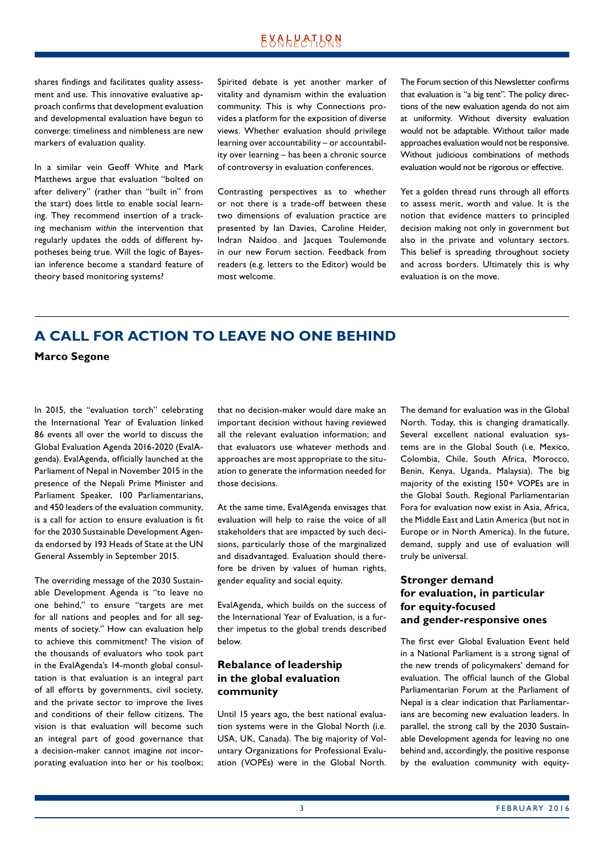# **EXALPATLQN**

<span id="page-2-0"></span>shares findings and facilitates quality assessment and use. This innovative evaluative approach confirms that development evaluation and developmental evaluation have begun to converge: timeliness and nimbleness are new markers of evaluation quality.

In a similar vein Geoff White and Mark Matthews argue that evaluation "bolted on after delivery" (rather than "built in" from the start) does little to enable social learning. They recommend insertion of a tracking mechanism *within* the intervention that regularly updates the odds of different hypotheses being true. Will the logic of Bayesian inference become a standard feature of theory based monitoring systems?

Spirited debate is yet another marker of vitality and dynamism within the evaluation community. This is why Connections provides a platform for the exposition of diverse views. Whether evaluation should privilege learning over accountability – or accountability over learning – has been a chronic source of controversy in evaluation conferences.

Contrasting perspectives as to whether or not there is a trade-off between these two dimensions of evaluation practice are presented by Ian Davies, Caroline Heider, Indran Naidoo and Jacques Toulemonde in our new Forum section. Feedback from readers (e.g. letters to the Editor) would be most welcome.

The Forum section of this Newsletter confirms that evaluation is "a big tent". The policy directions of the new evaluation agenda do not aim at uniformity. Without diversity evaluation would not be adaptable. Without tailor made approaches evaluation would not be responsive. Without judicious combinations of methods evaluation would not be rigorous or effective.

Yet a golden thread runs through all efforts to assess merit, worth and value. It is the notion that evidence matters to principled decision making not only in government but also in the private and voluntary sectors. This belief is spreading throughout society and across borders. Ultimately this is why evaluation is on the move.

# **A CALL FOR ACTION TO LEAVE NO ONE BEHIND**

**Marco Segone**

In 2015, the "evaluation torch" celebrating the International Year of Evaluation linked 86 events all over the world to discuss the Global Evaluation Agenda 2016-2020 (EvalAgenda). EvalAgenda, officially launched at the Parliament of Nepal in November 2015 in the presence of the Nepali Prime Minister and Parliament Speaker, 100 Parliamentarians, and 450 leaders of the evaluation community, is a call for action to ensure evaluation is fit for the 2030 Sustainable Development Agenda endorsed by 193 Heads of State at the UN General Assembly in September 2015.

The overriding message of the 2030 Sustainable Development Agenda is "to leave no one behind," to ensure "targets are met for all nations and peoples and for all segments of society." How can evaluation help to achieve this commitment? The vision of the thousands of evaluators who took part in the EvalAgenda's 14-month global consultation is that evaluation is an integral part of all efforts by governments, civil society, and the private sector to improve the lives and conditions of their fellow citizens. The vision is that evaluation will become such an integral part of good governance that a decision-maker cannot imagine *not* incorporating evaluation into her or his toolbox;

that no decision-maker would dare make an important decision without having reviewed all the relevant evaluation information; and that evaluators use whatever methods and approaches are most appropriate to the situation to generate the information needed for those decisions.

At the same time, EvalAgenda envisages that evaluation will help to raise the voice of all stakeholders that are impacted by such decisions, particularly those of the marginalized and disadvantaged. Evaluation should therefore be driven by values of human rights, gender equality and social equity.

EvalAgenda, which builds on the success of the International Year of Evaluation, is a further impetus to the global trends described below.

# **Rebalance of leadership in the global evaluation community**

Until 15 years ago, the best national evaluation systems were in the Global North (i.e. USA, UK, Canada). The big majority of Voluntary Organizations for Professional Evaluation (VOPEs) were in the Global North.

The demand for evaluation was in the Global North. Today, this is changing dramatically. Several excellent national evaluation systems are in the Global South (i.e. Mexico, Colombia, Chile, South Africa, Morocco, Benin, Kenya, Uganda, Malaysia). The big majority of the existing 150+ VOPEs are in the Global South. Regional Parliamentarian Fora for evaluation now exist in Asia, Africa, the Middle East and Latin America (but not in Europe or in North America). In the future, demand, supply and use of evaluation will truly be universal.

### **Stronger demand for evaluation, in particular for equity-focused and gender-responsive ones**

The first ever Global Evaluation Event held in a National Parliament is a strong signal of the new trends of policymakers' demand for evaluation. The official launch of the Global Parliamentarian Forum at the Parliament of Nepal is a clear indication that Parliamentarians are becoming new evaluation leaders. In parallel, the strong call by the 2030 Sustainable Development agenda for leaving no one behind and, accordingly, the positive response by the evaluation community with equity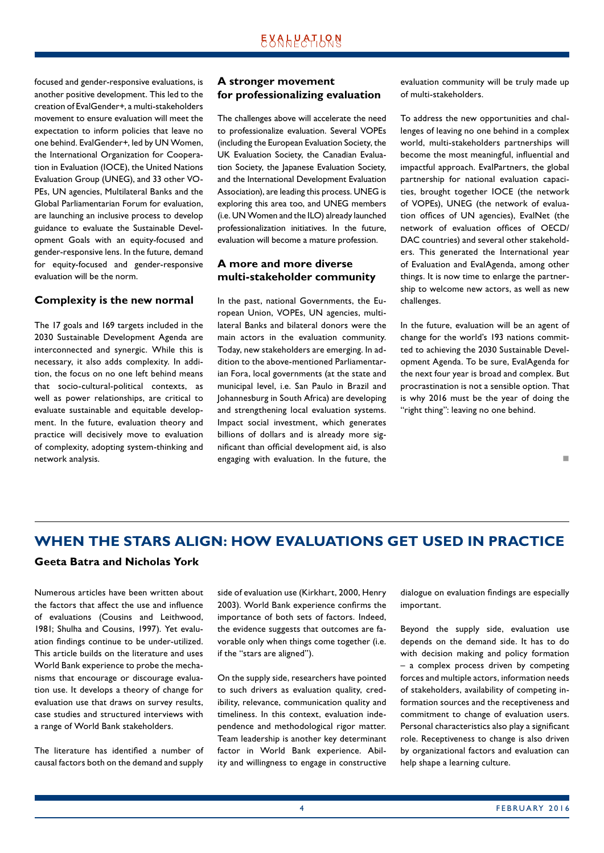<span id="page-3-0"></span>focused and gender-responsive evaluations, is another positive development. This led to the creation of EvalGender+, a multi-stakeholders movement to ensure evaluation will meet the expectation to inform policies that leave no one behind. EvalGender+, led by UN Women, the International Organization for Cooperation in Evaluation (IOCE), the United Nations Evaluation Group (UNEG), and 33 other VO-PEs, UN agencies, Multilateral Banks and the Global Parliamentarian Forum for evaluation, are launching an inclusive process to develop guidance to evaluate the Sustainable Development Goals with an equity-focused and gender-responsive lens. In the future, demand for equity-focused and gender-responsive evaluation will be the norm.

#### **Complexity is the new normal**

The 17 goals and 169 targets included in the 2030 Sustainable Development Agenda are interconnected and synergic. While this is necessary, it also adds complexity. In addition, the focus on no one left behind means that socio-cultural-political contexts, as well as power relationships, are critical to evaluate sustainable and equitable development. In the future, evaluation theory and practice will decisively move to evaluation of complexity, adopting system-thinking and network analysis.

### **A stronger movement for professionalizing evaluation**

The challenges above will accelerate the need to professionalize evaluation. Several VOPEs (including the European Evaluation Society, the UK Evaluation Society, the Canadian Evaluation Society, the Japanese Evaluation Society, and the International Development Evaluation Association), are leading this process. UNEG is exploring this area too, and UNEG members (i.e. UN Women and the ILO) already launched professionalization initiatives. In the future, evaluation will become a mature profession.

#### **A more and more diverse multi-stakeholder community**

In the past, national Governments, the European Union, VOPEs, UN agencies, multilateral Banks and bilateral donors were the main actors in the evaluation community. Today, new stakeholders are emerging. In addition to the above-mentioned Parliamentarian Fora, local governments (at the state and municipal level, i.e. San Paulo in Brazil and Johannesburg in South Africa) are developing and strengthening local evaluation systems. Impact social investment, which generates billions of dollars and is already more significant than official development aid, is also engaging with evaluation. In the future, the evaluation community will be truly made up of multi-stakeholders.

To address the new opportunities and challenges of leaving no one behind in a complex world, multi-stakeholders partnerships will become the most meaningful, influential and impactful approach. EvalPartners, the global partnership for national evaluation capacities, brought together IOCE (the network of VOPEs), UNEG (the network of evaluation offices of UN agencies), EvalNet (the network of evaluation offices of OECD/ DAC countries) and several other stakeholders. This generated the International year of Evaluation and EvalAgenda, among other things. It is now time to enlarge the partnership to welcome new actors, as well as new challenges.

In the future, evaluation will be an agent of change for the world's 193 nations committed to achieving the 2030 Sustainable Development Agenda. To be sure, EvalAgenda for the next four year is broad and complex. But procrastination is not a sensible option. That is why 2016 must be the year of doing the "right thing": leaving no one behind.

#### n

# **WHEN THE STARS ALIGN: HOW EVALUATIONS GET USED IN PRACTICE**

### **Geeta Batra and Nicholas York**

Numerous articles have been written about the factors that affect the use and influence of evaluations (Cousins and Leithwood, 1981; Shulha and Cousins, 1997). Yet evaluation findings continue to be under-utilized. This article builds on the literature and uses World Bank experience to probe the mechanisms that encourage or discourage evaluation use. It develops a theory of change for evaluation use that draws on survey results, case studies and structured interviews with a range of World Bank stakeholders.

The literature has identified a number of causal factors both on the demand and supply side of evaluation use (Kirkhart, 2000, Henry 2003). World Bank experience confirms the importance of both sets of factors. Indeed, the evidence suggests that outcomes are favorable only when things come together (i.e. if the "stars are aligned").

On the supply side, researchers have pointed to such drivers as evaluation quality, credibility, relevance, communication quality and timeliness. In this context, evaluation independence and methodological rigor matter. Team leadership is another key determinant factor in World Bank experience. Ability and willingness to engage in constructive dialogue on evaluation findings are especially important.

Beyond the supply side, evaluation use depends on the demand side. It has to do with decision making and policy formation – a complex process driven by competing forces and multiple actors, information needs of stakeholders, availability of competing information sources and the receptiveness and commitment to change of evaluation users. Personal characteristics also play a significant role. Receptiveness to change is also driven by organizational factors and evaluation can help shape a learning culture.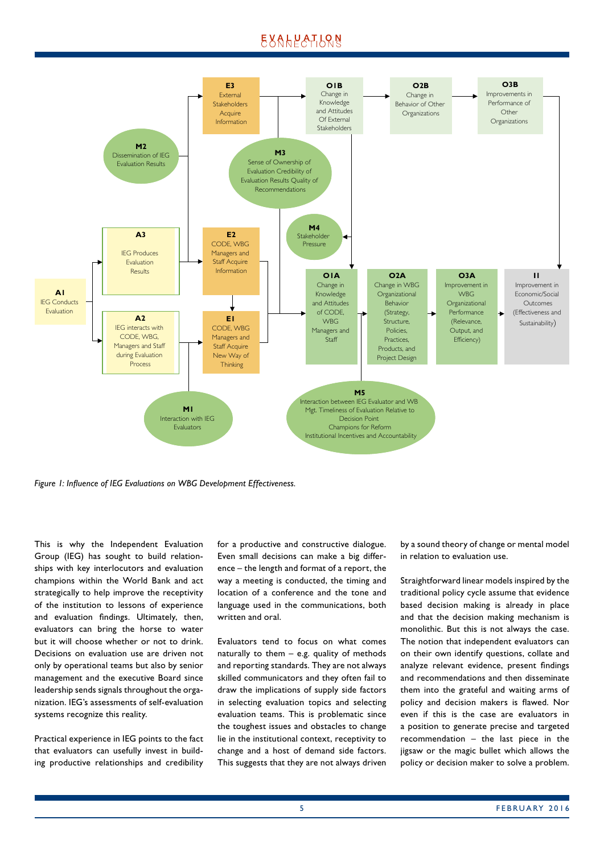# **EXALPATION**



*Figure 1: Influence of IEG Evaluations on WBG Development Effectiveness.*

This is why the Independent Evaluation Group (IEG) has sought to build relationships with key interlocutors and evaluation champions within the World Bank and act strategically to help improve the receptivity of the institution to lessons of experience and evaluation findings. Ultimately, then, evaluators can bring the horse to water but it will choose whether or not to drink. Decisions on evaluation use are driven not only by operational teams but also by senior management and the executive Board since leadership sends signals throughout the organization. IEG's assessments of self-evaluation systems recognize this reality.

Practical experience in IEG points to the fact that evaluators can usefully invest in building productive relationships and credibility for a productive and constructive dialogue. Even small decisions can make a big difference – the length and format of a report, the way a meeting is conducted, the timing and location of a conference and the tone and language used in the communications, both written and oral.

Evaluators tend to focus on what comes naturally to them – e.g. quality of methods and reporting standards. They are not always skilled communicators and they often fail to draw the implications of supply side factors in selecting evaluation topics and selecting evaluation teams. This is problematic since the toughest issues and obstacles to change lie in the institutional context, receptivity to change and a host of demand side factors. This suggests that they are not always driven

by a sound theory of change or mental model in relation to evaluation use.

Straightforward linear models inspired by the traditional policy cycle assume that evidence based decision making is already in place and that the decision making mechanism is monolithic. But this is not always the case. The notion that independent evaluators can on their own identify questions, collate and analyze relevant evidence, present findings and recommendations and then disseminate them into the grateful and waiting arms of policy and decision makers is flawed. Nor even if this is the case are evaluators in a position to generate precise and targeted recommendation – the last piece in the jigsaw or the magic bullet which allows the policy or decision maker to solve a problem.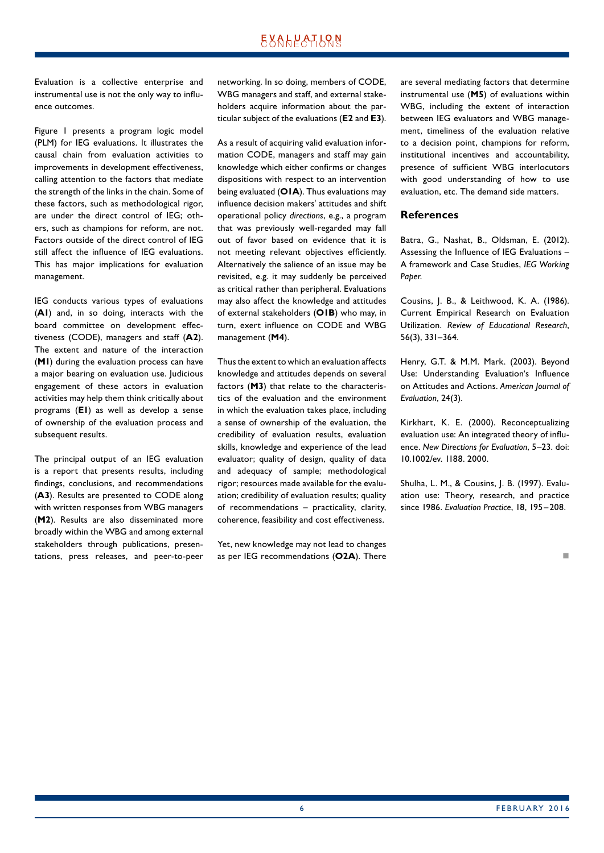# EXALPATLRN

Evaluation is a collective enterprise and instrumental use is not the only way to influence outcomes.

Figure 1 presents a program logic model (PLM) for IEG evaluations. It illustrates the causal chain from evaluation activities to improvements in development effectiveness, calling attention to the factors that mediate the strength of the links in the chain. Some of these factors, such as methodological rigor, are under the direct control of IEG; others, such as champions for reform, are not. Factors outside of the direct control of IEG still affect the influence of IEG evaluations. This has major implications for evaluation management.

IEG conducts various types of evaluations (**A1**) and, in so doing, interacts with the board committee on development effectiveness (CODE), managers and staff (**A2**). The extent and nature of the interaction (**M1**) during the evaluation process can have a major bearing on evaluation use. Judicious engagement of these actors in evaluation activities may help them think critically about programs (**E1**) as well as develop a sense of ownership of the evaluation process and subsequent results.

The principal output of an IEG evaluation is a report that presents results, including findings, conclusions, and recommendations (**A3**). Results are presented to CODE along with written responses from WBG managers (**M2**). Results are also disseminated more broadly within the WBG and among external stakeholders through publications, presentations, press releases, and peer-to-peer networking. In so doing, members of CODE, WBG managers and staff, and external stakeholders acquire information about the particular subject of the evaluations (**E2** and **E3**).

As a result of acquiring valid evaluation information CODE, managers and staff may gain knowledge which either confirms or changes dispositions with respect to an intervention being evaluated (**O1A**). Thus evaluations may influence decision makers' attitudes and shift operational policy *directions*, e.g., a program that was previously well-regarded may fall out of favor based on evidence that it is not meeting relevant objectives efficiently. Alternatively the salience of an issue may be revisited, e.g. it may suddenly be perceived as critical rather than peripheral. Evaluations may also affect the knowledge and attitudes of external stakeholders (**O1B**) who may, in turn, exert influence on CODE and WBG management (**M4**).

Thus the extent to which an evaluation affects knowledge and attitudes depends on several factors (**M3**) that relate to the characteristics of the evaluation and the environment in which the evaluation takes place, including a sense of ownership of the evaluation, the credibility of evaluation results, evaluation skills, knowledge and experience of the lead evaluator; quality of design, quality of data and adequacy of sample; methodological rigor; resources made available for the evaluation; credibility of evaluation results; quality of recommendations – practicality, clarity, coherence, feasibility and cost effectiveness.

Yet, new knowledge may not lead to changes as per IEG recommendations (**O2A**). There are several mediating factors that determine instrumental use (**M5**) of evaluations within WBG, including the extent of interaction between IEG evaluators and WBG management, timeliness of the evaluation relative to a decision point, champions for reform, institutional incentives and accountability, presence of sufficient WBG interlocutors with good understanding of how to use evaluation, etc. The demand side matters.

#### **References**

Batra, G., Nashat, B., Oldsman, E. (2012). Assessing the Influence of IEG Evaluations – A framework and Case Studies, *IEG Working Paper*.

Cousins, J. B., & Leithwood, K. A. (1986). Current Empirical Research on Evaluation Utilization. *Review of Educational Research*, 56(3), 331–364.

Henry, G.T. & M.M. Mark. (2003). Beyond Use: Understanding Evaluation's Influence on Attitudes and Actions. *American Journal of Evaluation*, 24(3).

Kirkhart, K. E. (2000). Reconceptualizing evaluation use: An integrated theory of influence. *New Directions for Evaluation*, 5–23. doi: 10.1002/ev. 1188. 2000.

Shulha, L. M., & Cousins, J. B. (1997). Evaluation use: Theory, research, and practice since 1986. *Evaluation Practice*, 18, 195–208.

not a contract the contract of the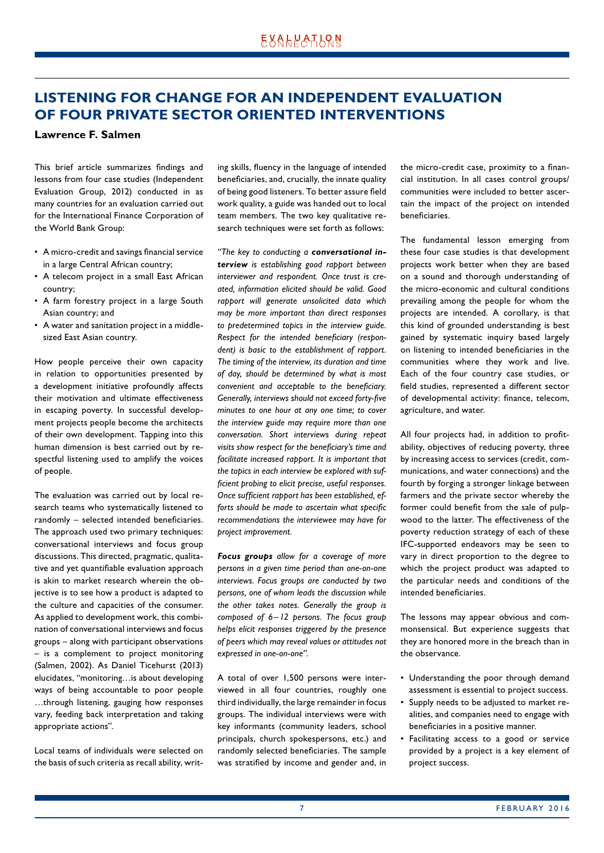# <span id="page-6-0"></span>**LISTENING FOR CHANGE FOR AN INDEPENDENT EVALUATION OF FOUR PRIVATE SECTOR ORIENTED INTERVENTIONS**

#### **Lawrence F. Salmen**

This brief article summarizes findings and lessons from four case studies (Independent Evaluation Group, 2012) conducted in as many countries for an evaluation carried out for the International Finance Corporation of the World Bank Group:

- A micro-credit and savings financial service in a large Central African country;
- A telecom project in a small East African country;
- A farm forestry project in a large South Asian country; and
- A water and sanitation project in a middlesized East Asian country.

How people perceive their own capacity in relation to opportunities presented by a development initiative profoundly affects their motivation and ultimate effectiveness in escaping poverty. In successful development projects people become the architects of their own development. Tapping into this human dimension is best carried out by respectful listening used to amplify the voices of people.

The evaluation was carried out by local research teams who systematically listened to randomly – selected intended beneficiaries. The approach used two primary techniques: conversational interviews and focus group discussions. This directed, pragmatic, qualitative and yet quantifiable evaluation approach is akin to market research wherein the objective is to see how a product is adapted to the culture and capacities of the consumer. As applied to development work, this combination of conversational interviews and focus groups – along with participant observations – is a complement to project monitoring (Salmen, 2002). As Daniel Ticehurst (2013) elucidates, "monitoring…is about developing ways of being accountable to poor people …through listening, gauging how responses vary, feeding back interpretation and taking appropriate actions".

Local teams of individuals were selected on the basis of such criteria as recall ability, writing skills, fluency in the language of intended beneficiaries, and, crucially, the innate quality of being good listeners. To better assure field work quality, a guide was handed out to local team members. The two key qualitative research techniques were set forth as follows:

*"The key to conducting a conversational interview is establishing good rapport between interviewer and respondent. Once trust is created, information elicited should be valid. Good rapport will generate unsolicited data which may be more important than direct responses to predetermined topics in the interview guide. Respect for the intended beneficiary (respondent) is basic to the establishment of rapport. The timing of the interview, its duration and time of day, should be determined by what is most convenient and acceptable to the beneficiary. Generally, interviews should not exceed forty-five minutes to one hour at any one time; to cover the interview guide may require more than one conversation. Short interviews during repeat visits show respect for the beneficiary's time and facilitate increased rapport. It is important that the topics in each interview be explored with sufficient probing to elicit precise, useful responses. Once sufficient rapport has been established, efforts should be made to ascertain what specific recommendations the interviewee may have for project improvement.*

*Focus groups allow for a coverage of more persons in a given time period than one-on-one interviews. Focus groups are conducted by two persons, one of whom leads the discussion while the other takes notes. Generally the group is composed of 6–12 persons. The focus group helps elicit responses triggered by the presence of peers which may reveal values or attitudes not expressed in one-on-one".*

A total of over 1,500 persons were interviewed in all four countries, roughly one third individually, the large remainder in focus groups. The individual interviews were with key informants (community leaders, school principals, church spokespersons, etc.) and randomly selected beneficiaries. The sample was stratified by income and gender and, in the micro-credit case, proximity to a financial institution. In all cases control groups/ communities were included to better ascertain the impact of the project on intended beneficiaries.

The fundamental lesson emerging from these four case studies is that development projects work better when they are based on a sound and thorough understanding of the micro-economic and cultural conditions prevailing among the people for whom the projects are intended. A corollary, is that this kind of grounded understanding is best gained by systematic inquiry based largely on listening to intended beneficiaries in the communities where they work and live. Each of the four country case studies, or field studies, represented a different sector of developmental activity: finance, telecom, agriculture, and water.

All four projects had, in addition to profitability, objectives of reducing poverty, three by increasing access to services (credit, communications, and water connections) and the fourth by forging a stronger linkage between farmers and the private sector whereby the former could benefit from the sale of pulpwood to the latter. The effectiveness of the poverty reduction strategy of each of these IFC-supported endeavors may be seen to vary in direct proportion to the degree to which the project product was adapted to the particular needs and conditions of the intended beneficiaries.

The lessons may appear obvious and commonsensical. But experience suggests that they are honored more in the breach than in the observance.

- Understanding the poor through demand assessment is essential to project success.
- Supply needs to be adjusted to market realities, and companies need to engage with beneficiaries in a positive manner.
- Facilitating access to a good or service provided by a project is a key element of project success.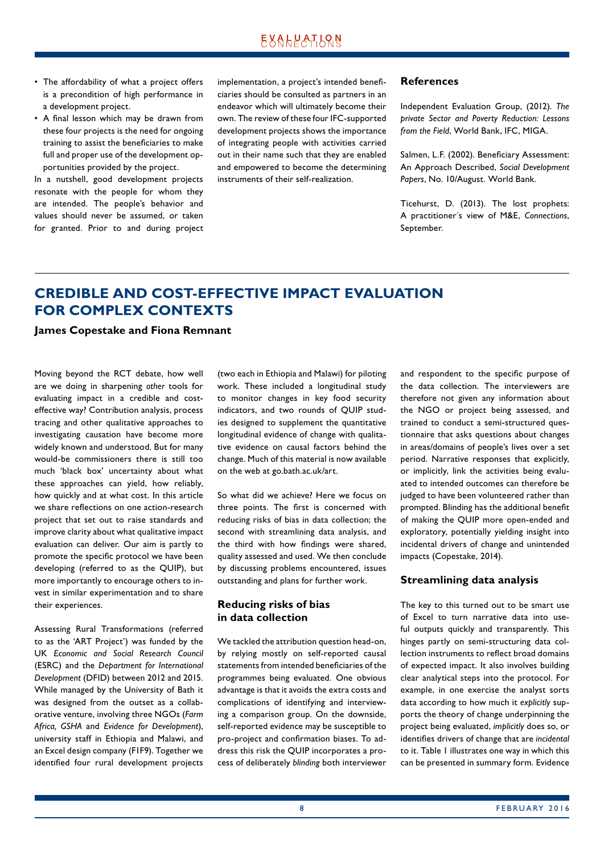- <span id="page-7-0"></span>• The affordability of what a project offers is a precondition of high performance in a development project.
- A final lesson which may be drawn from these four projects is the need for ongoing training to assist the beneficiaries to make full and proper use of the development opportunities provided by the project.

In a nutshell, good development projects resonate with the people for whom they are intended. The people's behavior and values should never be assumed, or taken for granted. Prior to and during project implementation, a project's intended beneficiaries should be consulted as partners in an endeavor which will ultimately become their own. The review of these four IFC-supported development projects shows the importance of integrating people with activities carried out in their name such that they are enabled and empowered to become the determining instruments of their self-realization.

#### **References**

Independent Evaluation Group, (2012). *The private Sector and Poverty Reduction: Lessons from the Field*, World Bank, IFC, MIGA.

Salmen, L.F. (2002). Beneficiary Assessment: An Approach Described, *Social Development Papers*, No. 10/August. World Bank.

Ticehurst, D. (2013). The lost prophets: A practitioner´s view of M&E, *Connections*, September.

# **CREDIBLE AND COST-EFFECTIVE IMPACT EVALUATION FOR COMPLEX CONTEXTS**

#### **James Copestake and Fiona Remnant**

Moving beyond the RCT debate, how well are we doing in sharpening *other* tools for evaluating impact in a credible and costeffective way? Contribution analysis, process tracing and other qualitative approaches to investigating causation have become more widely known and understood. But for many would-be commissioners there is still too much 'black box' uncertainty about what these approaches can yield, how reliably, how quickly and at what cost. In this article we share reflections on one action-research project that set out to raise standards and improve clarity about what qualitative impact evaluation can deliver. Our aim is partly to promote the specific protocol we have been developing (referred to as the QUIP), but more importantly to encourage others to invest in similar experimentation and to share their experiences.

Assessing Rural Transformations (referred to as the 'ART Project') was funded by the UK *Economic and Social Research Council* (ESRC) and the *Department for International Development* (DFID) between 2012 and 2015. While managed by the University of Bath it was designed from the outset as a collaborative venture, involving three NGOs (*Farm Africa, GSHA* and *Evidence for Development*), university staff in Ethiopia and Malawi, and an Excel design company (F1F9). Together we identified four rural development projects (two each in Ethiopia and Malawi) for piloting work. These included a longitudinal study to monitor changes in key food security indicators, and two rounds of QUIP studies designed to supplement the quantitative longitudinal evidence of change with qualitative evidence on causal factors behind the change. Much of this material is now available on the web at go.bath.ac.uk/art.

So what did we achieve? Here we focus on three points. The first is concerned with reducing risks of bias in data collection; the second with streamlining data analysis, and the third with how findings were shared, quality assessed and used. We then conclude by discussing problems encountered, issues outstanding and plans for further work.

### **Reducing risks of bias in data collection**

We tackled the attribution question head-on, by relying mostly on self-reported causal statements from intended beneficiaries of the programmes being evaluated. One obvious advantage is that it avoids the extra costs and complications of identifying and interviewing a comparison group. On the downside, self-reported evidence may be susceptible to pro-project and confirmation biases. To address this risk the QUIP incorporates a process of deliberately *blinding* both interviewer and respondent to the specific purpose of the data collection. The interviewers are therefore not given any information about the NGO or project being assessed, and trained to conduct a semi-structured questionnaire that asks questions about changes in areas/domains of people's lives over a set period. Narrative responses that explicitly, or implicitly, link the activities being evaluated to intended outcomes can therefore be judged to have been volunteered rather than prompted. Blinding has the additional benefit of making the QUIP more open-ended and exploratory, potentially yielding insight into incidental drivers of change and unintended impacts (Copestake, 2014).

#### **Streamlining data analysis**

The key to this turned out to be smart use of Excel to turn narrative data into useful outputs quickly and transparently. This hinges partly on semi-structuring data collection instruments to reflect broad domains of expected impact. It also involves building clear analytical steps into the protocol. For example, in one exercise the analyst sorts data according to how much it *explicitly* supports the theory of change underpinning the project being evaluated, *implicitly* does so, or identifies drivers of change that are *incidental* to it. Table 1 illustrates one way in which this can be presented in summary form. Evidence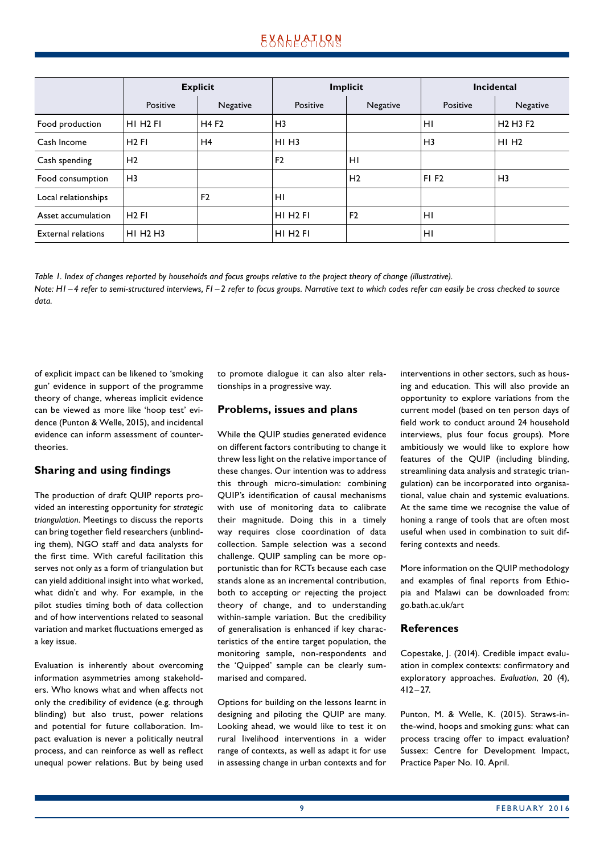|                           | <b>Explicit</b>                  |                | Implicit             |                | Incidental     |                                              |
|---------------------------|----------------------------------|----------------|----------------------|----------------|----------------|----------------------------------------------|
|                           | Positive                         | Negative       | Positive             | Negative       | Positive       | Negative                                     |
| Food production           | HI H <sub>2</sub> FI             | <b>H4F2</b>    | H <sub>3</sub>       |                | H <sub>1</sub> | H <sub>2</sub> H <sub>3</sub> F <sub>2</sub> |
| Cash Income               | $H2$ FI                          | H4             | $HI$ H <sub>3</sub>  |                | H <sub>3</sub> | $HI$ H <sub>2</sub>                          |
| Cash spending             | H <sub>2</sub>                   |                | F <sub>2</sub>       | H <sub>1</sub> |                |                                              |
| Food consumption          | H <sub>3</sub>                   |                |                      | H <sub>2</sub> | <b>FIF2</b>    | H <sub>3</sub>                               |
| Local relationships       |                                  | F <sub>2</sub> | HI                   |                |                |                                              |
| Asset accumulation        | $H2$ FI                          |                | HI H <sub>2</sub> FI | F <sub>2</sub> | HI             |                                              |
| <b>External relations</b> | HI H <sub>2</sub> H <sub>3</sub> |                | HI H <sub>2</sub> FI |                | H <sub>1</sub> |                                              |

*Table 1. Index of changes reported by households and focus groups relative to the project theory of change (illustrative). Note: H1–4 refer to semi-structured interviews, F1–2 refer to focus groups. Narrative text to which codes refer can easily be cross checked to source data.*

of explicit impact can be likened to 'smoking gun' evidence in support of the programme theory of change, whereas implicit evidence can be viewed as more like 'hoop test' evidence (Punton & Welle, 2015), and incidental evidence can inform assessment of countertheories.

### **Sharing and using findings**

The production of draft QUIP reports provided an interesting opportunity for *strategic triangulation*. Meetings to discuss the reports can bring together field researchers (unblinding them), NGO staff and data analysts for the first time. With careful facilitation this serves not only as a form of triangulation but can yield additional insight into what worked, what didn't and why. For example, in the pilot studies timing both of data collection and of how interventions related to seasonal variation and market fluctuations emerged as a key issue.

Evaluation is inherently about overcoming information asymmetries among stakeholders. Who knows what and when affects not only the credibility of evidence (e.g. through blinding) but also trust, power relations and potential for future collaboration. Impact evaluation is never a politically neutral process, and can reinforce as well as reflect unequal power relations. But by being used to promote dialogue it can also alter relationships in a progressive way.

#### **Problems, issues and plans**

While the QUIP studies generated evidence on different factors contributing to change it threw less light on the relative importance of these changes. Our intention was to address this through micro-simulation: combining QUIP's identification of causal mechanisms with use of monitoring data to calibrate their magnitude. Doing this in a timely way requires close coordination of data collection. Sample selection was a second challenge. QUIP sampling can be more opportunistic than for RCTs because each case stands alone as an incremental contribution, both to accepting or rejecting the project theory of change, and to understanding within-sample variation. But the credibility of generalisation is enhanced if key characteristics of the entire target population, the monitoring sample, non-respondents and the 'Quipped' sample can be clearly summarised and compared.

Options for building on the lessons learnt in designing and piloting the QUIP are many. Looking ahead, we would like to test it on rural livelihood interventions in a wider range of contexts, as well as adapt it for use in assessing change in urban contexts and for interventions in other sectors, such as housing and education. This will also provide an opportunity to explore variations from the current model (based on ten person days of field work to conduct around 24 household interviews, plus four focus groups). More ambitiously we would like to explore how features of the QUIP (including blinding, streamlining data analysis and strategic triangulation) can be incorporated into organisational, value chain and systemic evaluations. At the same time we recognise the value of honing a range of tools that are often most useful when used in combination to suit differing contexts and needs.

More information on the QUIP methodology and examples of final reports from Ethiopia and Malawi can be downloaded from: go.bath.ac.uk/art

#### **References**

Copestake, J. (2014). Credible impact evaluation in complex contexts: confirmatory and exploratory approaches. *Evaluation*, 20 (4), 412–27.

Punton, M. & Welle, K. (2015). Straws-inthe-wind, hoops and smoking guns: what can process tracing offer to impact evaluation? Sussex: Centre for Development Impact, Practice Paper No. 10. April.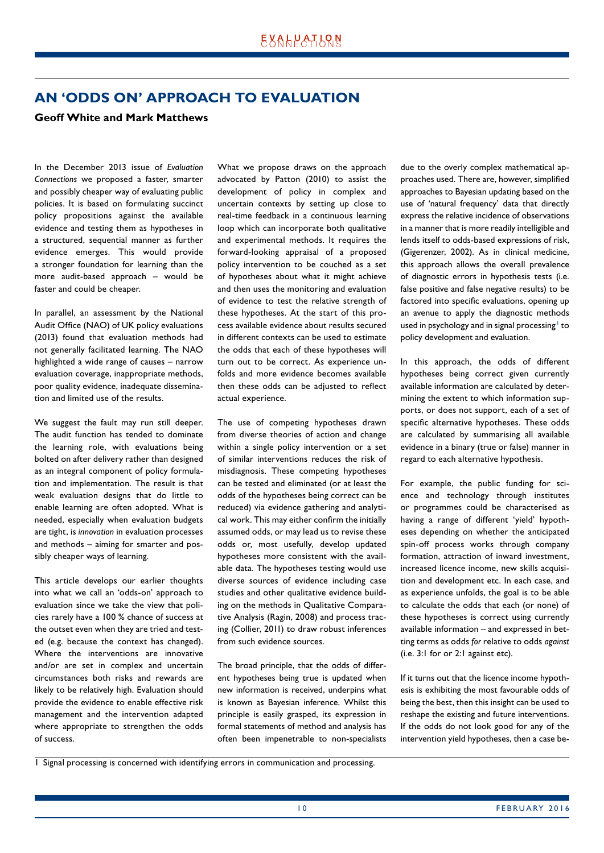# <span id="page-9-0"></span>**AN 'ODDS ON' APPROACH TO EVALUATION**

### **Geoff White and Mark Matthews**

In the December 2013 issue of *Evaluation Connections* we proposed a faster, smarter and possibly cheaper way of evaluating public policies. It is based on formulating succinct policy propositions against the available evidence and testing them as hypotheses in a structured, sequential manner as further evidence emerges. This would provide a stronger foundation for learning than the more audit-based approach – would be faster and could be cheaper.

In parallel, an assessment by the National Audit Office (NAO) of UK policy evaluations (2013) found that evaluation methods had not generally facilitated learning. The NAO highlighted a wide range of causes – narrow evaluation coverage, inappropriate methods, poor quality evidence, inadequate dissemination and limited use of the results.

We suggest the fault may run still deeper. The audit function has tended to dominate the learning role, with evaluations being bolted on after delivery rather than designed as an integral component of policy formulation and implementation. The result is that weak evaluation designs that do little to enable learning are often adopted. What is needed, especially when evaluation budgets are tight, is *innovation* in evaluation processes and methods – aiming for smarter and possibly cheaper ways of learning.

This article develops our earlier thoughts into what we call an 'odds-on' approach to evaluation since we take the view that policies rarely have a 100 % chance of success at the outset even when they are tried and tested (e.g. because the context has changed). Where the interventions are innovative and/or are set in complex and uncertain circumstances both risks and rewards are likely to be relatively high. Evaluation should provide the evidence to enable effective risk management and the intervention adapted where appropriate to strengthen the odds of success.

What we propose draws on the approach advocated by Patton (2010) to assist the development of policy in complex and uncertain contexts by setting up close to real-time feedback in a continuous learning loop which can incorporate both qualitative and experimental methods. It requires the forward-looking appraisal of a proposed policy intervention to be couched as a set of hypotheses about what it might achieve and then uses the monitoring and evaluation of evidence to test the relative strength of these hypotheses. At the start of this process available evidence about results secured in different contexts can be used to estimate the odds that each of these hypotheses will turn out to be correct. As experience unfolds and more evidence becomes available then these odds can be adjusted to reflect actual experience.

The use of competing hypotheses drawn from diverse theories of action and change within a single policy intervention or a set of similar interventions reduces the risk of misdiagnosis. These competing hypotheses can be tested and eliminated (or at least the odds of the hypotheses being correct can be reduced) via evidence gathering and analytical work. This may either confirm the initially assumed odds, or may lead us to revise these odds or, most usefully, develop updated hypotheses more consistent with the available data. The hypotheses testing would use diverse sources of evidence including case studies and other qualitative evidence building on the methods in Qualitative Comparative Analysis (Ragin, 2008) and process tracing (Collier, 2011) to draw robust inferences from such evidence sources.

The broad principle, that the odds of different hypotheses being true is updated when new information is received, underpins what is known as Bayesian inference. Whilst this principle is easily grasped, its expression in formal statements of method and analysis has often been impenetrable to non-specialists due to the overly complex mathematical approaches used. There are, however, simplified approaches to Bayesian updating based on the use of 'natural frequency' data that directly express the relative incidence of observations in a manner that is more readily intelligible and lends itself to odds-based expressions of risk, (Gigerenzer, 2002). As in clinical medicine, this approach allows the overall prevalence of diagnostic errors in hypothesis tests (i.e. false positive and false negative results) to be factored into specific evaluations, opening up an avenue to apply the diagnostic methods used in psychology and in signal processing to policy development and evaluation.

In this approach, the odds of different hypotheses being correct given currently available information are calculated by determining the extent to which information supports, or does not support, each of a set of specific alternative hypotheses. These odds are calculated by summarising all available evidence in a binary (true or false) manner in regard to each alternative hypothesis.

For example, the public funding for science and technology through institutes or programmes could be characterised as having a range of different 'yield' hypotheses depending on whether the anticipated spin-off process works through company formation, attraction of inward investment, increased licence income, new skills acquisition and development etc. In each case, and as experience unfolds, the goal is to be able to calculate the odds that each (or none) of these hypotheses is correct using currently available information – and expressed in betting terms as odds *for* relative to odds *against* (i.e. 3:1 for or 2:1 against etc).

If it turns out that the licence income hypothesis is exhibiting the most favourable odds of being the best, then this insight can be used to reshape the existing and future interventions. If the odds do not look good for any of the intervention yield hypotheses, then a case be-

<sup>1</sup> Signal processing is concerned with identifying errors in communication and processing.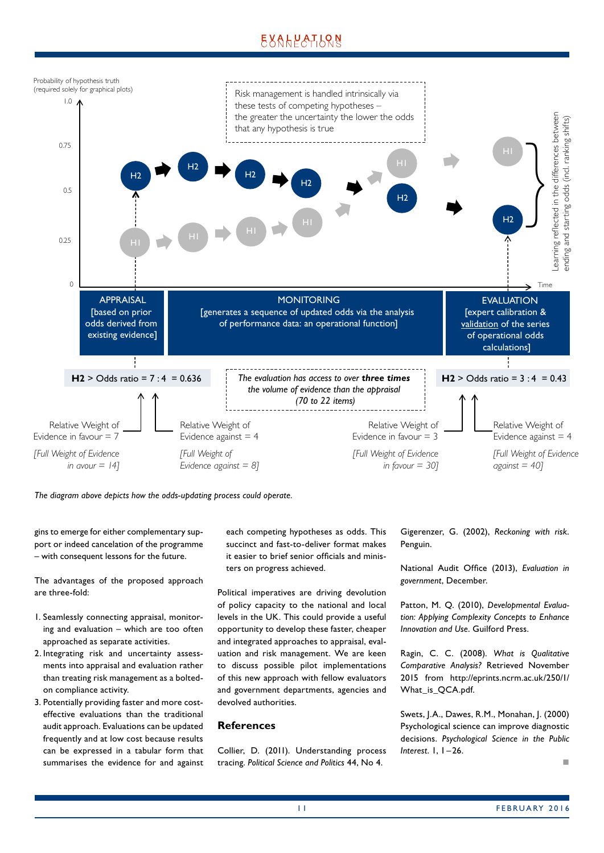# EXALPATLRN



*The diagram above depicts how the odds-updating process could operate.*

gins to emerge for either complementary support or indeed cancelation of the programme – with consequent lessons for the future.

The advantages of the proposed approach are three-fold:

- 1. Seamlessly connecting appraisal, monitoring and evaluation – which are too often approached as separate activities.
- 2. Integrating risk and uncertainty assessments into appraisal and evaluation rather than treating risk management as a boltedon compliance activity.
- 3. Potentially providing faster and more costeffective evaluations than the traditional audit approach. Evaluations can be updated frequently and at low cost because results can be expressed in a tabular form that summarises the evidence for and against

each competing hypotheses as odds. This succinct and fast-to-deliver format makes it easier to brief senior officials and ministers on progress achieved.

Political imperatives are driving devolution of policy capacity to the national and local levels in the UK. This could provide a useful opportunity to develop these faster, cheaper and integrated approaches to appraisal, evaluation and risk management. We are keen to discuss possible pilot implementations of this new approach with fellow evaluators and government departments, agencies and devolved authorities.

### **References**

Collier, D. (2011). Understanding process tracing. *Political Science and Politics* 44, No 4.

Gigerenzer, G. (2002), *Reckoning with risk*. Penguin.

National Audit Office (2013), *Evaluation in government*, December.

Patton, M. Q. (2010), *Developmental Evaluation: Applying Complexity Concepts to Enhance Innovation and Use*. Guilford Press.

Ragin, C. C. (2008). *What is Qualitative Comparative Analysis?* Retrieved November 2015 from http://eprints.ncrm.ac.uk/250/1/ What\_is\_QCA.pdf.

Swets, J.A., Dawes, R.M., Monahan, J. (2000) Psychological science can improve diagnostic decisions. *Psychological Science in the Public Interest*. 1, 1 –26.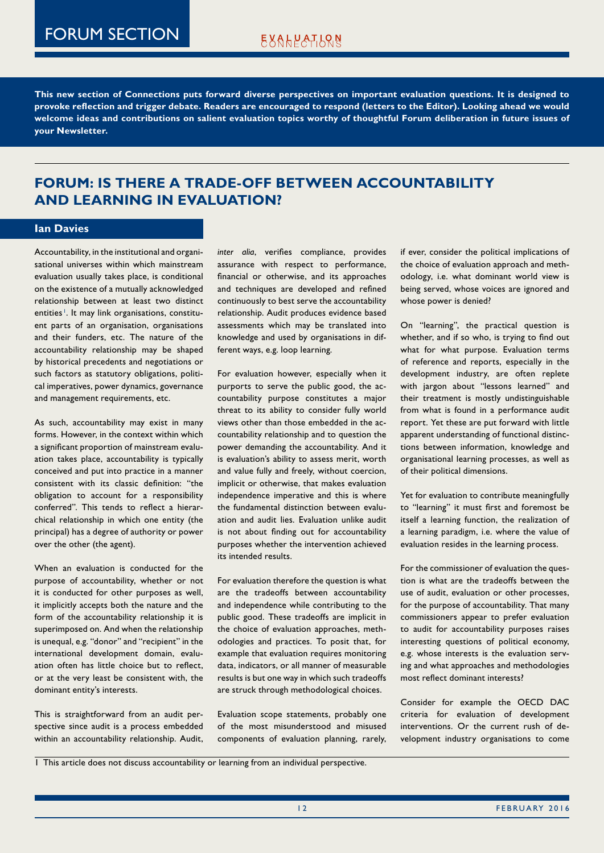<span id="page-11-0"></span>**This new section of Connections puts forward diverse perspectives on important evaluation questions. It is designed to provoke reflection and trigger debate. Readers are encouraged to respond (letters to the Editor). Looking ahead we would welcome ideas and contributions on salient evaluation topics worthy of thoughtful Forum deliberation in future issues of your Newsletter.** 

# **FORUM: IS THERE A TRADE-OFF BETWEEN ACCOUNTABILITY AND LEARNING IN EVALUATION?**

#### **Ian Davies**

Accountability, in the institutional and organisational universes within which mainstream evaluation usually takes place, is conditional on the existence of a mutually acknowledged relationship between at least two distinct entities<sup>1</sup>. It may link organisations, constituent parts of an organisation, organisations and their funders, etc. The nature of the accountability relationship may be shaped by historical precedents and negotiations or such factors as statutory obligations, political imperatives, power dynamics, governance and management requirements, etc.

As such, accountability may exist in many forms. However, in the context within which a significant proportion of mainstream evaluation takes place, accountability is typically conceived and put into practice in a manner consistent with its classic definition: "the obligation to account for a responsibility conferred". This tends to reflect a hierarchical relationship in which one entity (the principal) has a degree of authority or power over the other (the agent).

When an evaluation is conducted for the purpose of accountability, whether or not it is conducted for other purposes as well, it implicitly accepts both the nature and the form of the accountability relationship it is superimposed on. And when the relationship is unequal, e.g. "donor" and "recipient" in the international development domain, evaluation often has little choice but to reflect, or at the very least be consistent with, the dominant entity's interests.

This is straightforward from an audit perspective since audit is a process embedded within an accountability relationship. Audit, *inter alia*, verifies compliance, provides assurance with respect to performance, financial or otherwise, and its approaches and techniques are developed and refined continuously to best serve the accountability relationship. Audit produces evidence based assessments which may be translated into knowledge and used by organisations in different ways, e.g. loop learning.

For evaluation however, especially when it purports to serve the public good, the accountability purpose constitutes a major threat to its ability to consider fully world views other than those embedded in the accountability relationship and to question the power demanding the accountability. And it is evaluation's ability to assess merit, worth and value fully and freely, without coercion, implicit or otherwise, that makes evaluation independence imperative and this is where the fundamental distinction between evaluation and audit lies. Evaluation unlike audit is not about finding out for accountability purposes whether the intervention achieved its intended results.

For evaluation therefore the question is what are the tradeoffs between accountability and independence while contributing to the public good. These tradeoffs are implicit in the choice of evaluation approaches, methodologies and practices. To posit that, for example that evaluation requires monitoring data, indicators, or all manner of measurable results is but one way in which such tradeoffs are struck through methodological choices.

Evaluation scope statements, probably one of the most misunderstood and misused components of evaluation planning, rarely, if ever, consider the political implications of the choice of evaluation approach and methodology, i.e. what dominant world view is being served, whose voices are ignored and whose power is denied?

On "learning", the practical question is whether, and if so who, is trying to find out what for what purpose. Evaluation terms of reference and reports, especially in the development industry, are often replete with jargon about "lessons learned" and their treatment is mostly undistinguishable from what is found in a performance audit report. Yet these are put forward with little apparent understanding of functional distinctions between information, knowledge and organisational learning processes, as well as of their political dimensions.

Yet for evaluation to contribute meaningfully to "learning" it must first and foremost be itself a learning function, the realization of a learning paradigm, i.e. where the value of evaluation resides in the learning process.

For the commissioner of evaluation the question is what are the tradeoffs between the use of audit, evaluation or other processes, for the purpose of accountability. That many commissioners appear to prefer evaluation to audit for accountability purposes raises interesting questions of political economy, e.g. whose interests is the evaluation serving and what approaches and methodologies most reflect dominant interests?

Consider for example the OECD DAC criteria for evaluation of development interventions. Or the current rush of development industry organisations to come

1 This article does not discuss accountability or learning from an individual perspective.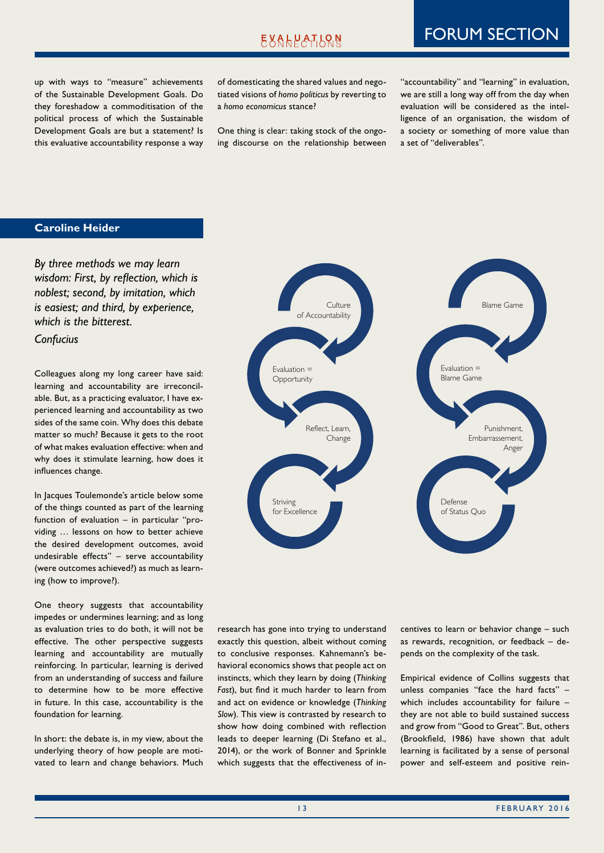# FORUM SECTION

up with ways to "measure" achievements of the Sustainable Development Goals. Do they foreshadow a commoditisation of the political process of which the Sustainable Development Goals are but a statement? Is this evaluative accountability response a way

of domesticating the shared values and negotiated visions of *homo politicus* by reverting to a *homo economicus* stance?

One thing is clear: taking stock of the ongoing discourse on the relationship between

"accountability" and "learning" in evaluation, we are still a long way off from the day when evaluation will be considered as the intelligence of an organisation, the wisdom of a society or something of more value than a set of "deliverables".

### **Caroline Heider**

*By three methods we may learn wisdom: First, by reflection, which is noblest; second, by imitation, which is easiest; and third, by experience, which is the bitterest.* 

# *Confucius*

Colleagues along my long career have said: learning and accountability are irreconcilable. But, as a practicing evaluator, I have experienced learning and accountability as two sides of the same coin. Why does this debate matter so much? Because it gets to the root of what makes evaluation effective: when and why does it stimulate learning, how does it influences change.

In Jacques Toulemonde's article below some of the things counted as part of the learning function of evaluation – in particular "providing … lessons on how to better achieve the desired development outcomes, avoid undesirable effects" – serve accountability (were outcomes achieved?) as much as learning (how to improve?).

One theory suggests that accountability impedes or undermines learning; and as long as evaluation tries to do both, it will not be effective. The other perspective suggests learning and accountability are mutually reinforcing. In particular, learning is derived from an understanding of success and failure to determine how to be more effective in future. In this case, accountability is the foundation for learning.

In short: the debate is, in my view, about the underlying theory of how people are motivated to learn and change behaviors. Much



research has gone into trying to understand exactly this question, albeit without coming to conclusive responses. Kahnemann's behavioral economics shows that people act on instincts, which they learn by doing (*Thinking Fast*), but find it much harder to learn from and act on evidence or knowledge (*Thinking Slow*). This view is contrasted by research to show how doing combined with reflection leads to deeper learning (Di Stefano et al., 2014), or the work of Bonner and Sprinkle which suggests that the effectiveness of incentives to learn or behavior change – such as rewards, recognition, or feedback – depends on the complexity of the task.

Empirical evidence of Collins suggests that unless companies "face the hard facts" – which includes accountability for failure they are not able to build sustained success and grow from "Good to Great". But, others (Brookfield, 1986) have shown that adult learning is facilitated by a sense of personal power and self-esteem and positive rein-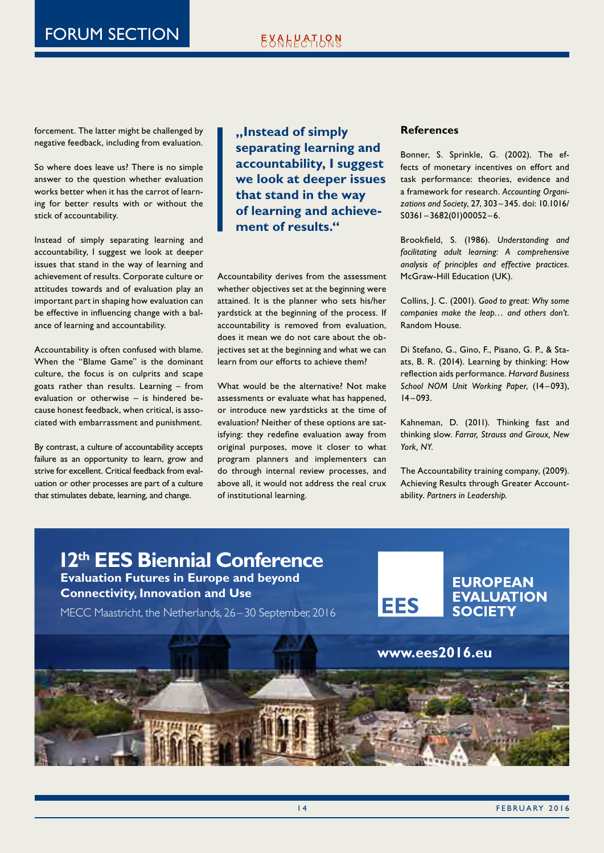# EXALPATLRN

forcement. The latter might be challenged by negative feedback, including from evaluation.

So where does leave us? There is no simple answer to the question whether evaluation works better when it has the carrot of learning for better results with or without the stick of accountability.

Instead of simply separating learning and accountability, I suggest we look at deeper issues that stand in the way of learning and achievement of results. Corporate culture or attitudes towards and of evaluation play an important part in shaping how evaluation can be effective in influencing change with a balance of learning and accountability.

Accountability is often confused with blame. When the "Blame Game" is the dominant culture, the focus is on culprits and scape goats rather than results. Learning – from evaluation or otherwise – is hindered because honest feedback, when critical, is associated with embarrassment and punishment.

By contrast, a culture of accountability accepts failure as an opportunity to learn, grow and strive for excellent. Critical feedback from evaluation or other processes are part of a culture that stimulates debate, learning, and change.

**"Instead of simply separating learning and accountability, I suggest we look at deeper issues that stand in the way of learning and achievement of results."**

Accountability derives from the assessment whether objectives set at the beginning were attained. It is the planner who sets his/her yardstick at the beginning of the process. If accountability is removed from evaluation, does it mean we do not care about the objectives set at the beginning and what we can learn from our efforts to achieve them?

What would be the alternative? Not make assessments or evaluate what has happened, or introduce new yardsticks at the time of evaluation? Neither of these options are satisfying: they redefine evaluation away from original purposes, move it closer to what program planners and implementers can do through internal review processes, and above all, it would not address the real crux of institutional learning.

### **References**

Bonner, S. Sprinkle, G. (2002). The effects of monetary incentives on effort and task performance: theories, evidence and a framework for research. *Accounting Organizations and Society*, 27, 303–345. doi: 10.1016/ S0361–3682(01)00052 –6.

Brookfield, S. (1986). *Understanding and facilitating adult learning: A comprehensive analysis of principles and effective practices.* McGraw-Hill Education (UK).

Collins, J. C. (2001). *Good to great: Why some companies make the leap… and others don't.* Random House.

Di Stefano, G., Gino, F., Pisano, G. P., & Staats, B. R. (2014). Learning by thinking: How reflection aids performance. *Harvard Business*  School NOM Unit Working Paper, (14-093),  $14 - 093.$ 

Kahneman, D. (2011). Thinking fast and thinking slow. *Farrar, Strauss and Giroux, New York, NY.*

The Accountability training company, (2009). Achieving Results through Greater Accountability. *Partners in Leadership.*

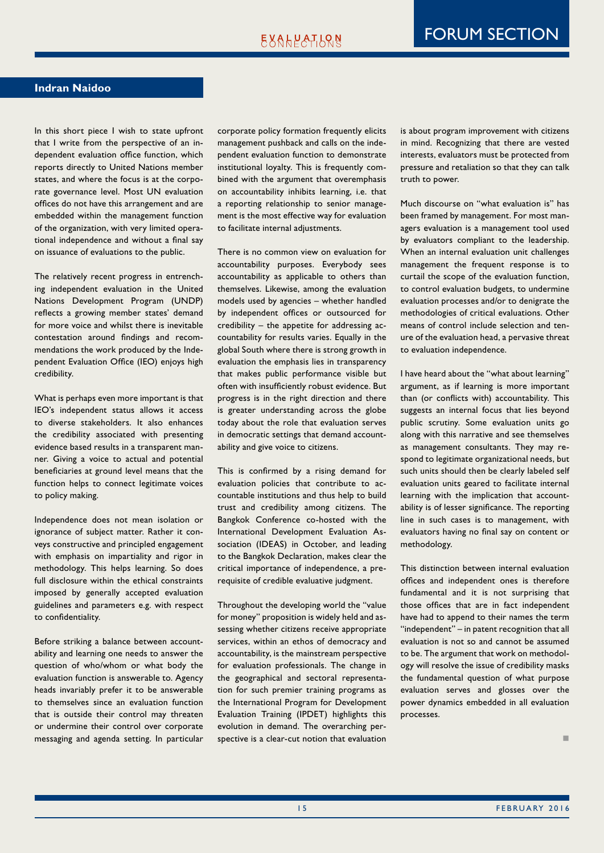#### **Indran Naidoo**

In this short piece I wish to state upfront that I write from the perspective of an independent evaluation office function, which reports directly to United Nations member states, and where the focus is at the corporate governance level. Most UN evaluation offices do not have this arrangement and are embedded within the management function of the organization, with very limited operational independence and without a final say on issuance of evaluations to the public.

The relatively recent progress in entrenching independent evaluation in the United Nations Development Program (UNDP) reflects a growing member states' demand for more voice and whilst there is inevitable contestation around findings and recommendations the work produced by the Independent Evaluation Office (IEO) enjoys high credibility.

What is perhaps even more important is that IEO's independent status allows it access to diverse stakeholders. It also enhances the credibility associated with presenting evidence based results in a transparent manner. Giving a voice to actual and potential beneficiaries at ground level means that the function helps to connect legitimate voices to policy making.

Independence does not mean isolation or ignorance of subject matter. Rather it conveys constructive and principled engagement with emphasis on impartiality and rigor in methodology. This helps learning. So does full disclosure within the ethical constraints imposed by generally accepted evaluation guidelines and parameters e.g. with respect to confidentiality.

Before striking a balance between accountability and learning one needs to answer the question of who/whom or what body the evaluation function is answerable to. Agency heads invariably prefer it to be answerable to themselves since an evaluation function that is outside their control may threaten or undermine their control over corporate messaging and agenda setting. In particular corporate policy formation frequently elicits management pushback and calls on the independent evaluation function to demonstrate institutional loyalty. This is frequently combined with the argument that overemphasis on accountability inhibits learning, i.e. that a reporting relationship to senior management is the most effective way for evaluation to facilitate internal adjustments.

There is no common view on evaluation for accountability purposes. Everybody sees accountability as applicable to others than themselves. Likewise, among the evaluation models used by agencies – whether handled by independent offices or outsourced for credibility – the appetite for addressing accountability for results varies. Equally in the global South where there is strong growth in evaluation the emphasis lies in transparency that makes public performance visible but often with insufficiently robust evidence. But progress is in the right direction and there is greater understanding across the globe today about the role that evaluation serves in democratic settings that demand accountability and give voice to citizens.

This is confirmed by a rising demand for evaluation policies that contribute to accountable institutions and thus help to build trust and credibility among citizens. The Bangkok Conference co-hosted with the International Development Evaluation Association (IDEAS) in October, and leading to the Bangkok Declaration, makes clear the critical importance of independence, a prerequisite of credible evaluative judgment.

Throughout the developing world the "value for money" proposition is widely held and assessing whether citizens receive appropriate services, within an ethos of democracy and accountability, is the mainstream perspective for evaluation professionals. The change in the geographical and sectoral representation for such premier training programs as the International Program for Development Evaluation Training (IPDET) highlights this evolution in demand. The overarching perspective is a clear-cut notion that evaluation

is about program improvement with citizens in mind. Recognizing that there are vested interests, evaluators must be protected from pressure and retaliation so that they can talk truth to power.

Much discourse on "what evaluation is" has been framed by management. For most managers evaluation is a management tool used by evaluators compliant to the leadership. When an internal evaluation unit challenges management the frequent response is to curtail the scope of the evaluation function, to control evaluation budgets, to undermine evaluation processes and/or to denigrate the methodologies of critical evaluations. Other means of control include selection and tenure of the evaluation head, a pervasive threat to evaluation independence.

I have heard about the "what about learning" argument, as if learning is more important than (or conflicts with) accountability. This suggests an internal focus that lies beyond public scrutiny. Some evaluation units go along with this narrative and see themselves as management consultants. They may respond to legitimate organizational needs, but such units should then be clearly labeled self evaluation units geared to facilitate internal learning with the implication that accountability is of lesser significance. The reporting line in such cases is to management, with evaluators having no final say on content or methodology.

This distinction between internal evaluation offices and independent ones is therefore fundamental and it is not surprising that those offices that are in fact independent have had to append to their names the term "independent" – in patent recognition that all evaluation is not so and cannot be assumed to be. The argument that work on methodology will resolve the issue of credibility masks the fundamental question of what purpose evaluation serves and glosses over the power dynamics embedded in all evaluation processes.

n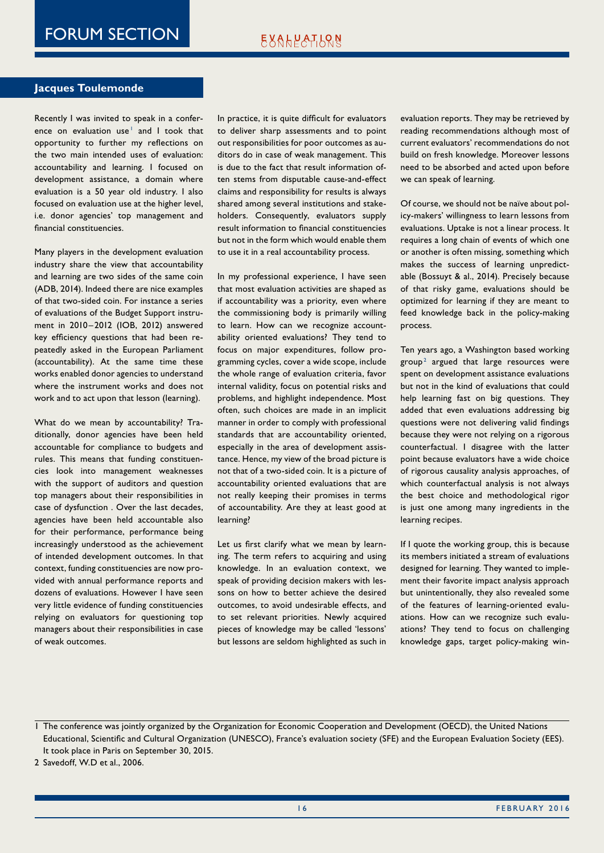#### **Jacques Toulemonde**

Recently I was invited to speak in a conference on evaluation use $^{\dagger}$  and I took that opportunity to further my reflections on the two main intended uses of evaluation: accountability and learning. I focused on development assistance, a domain where evaluation is a 50 year old industry. I also focused on evaluation use at the higher level, i.e. donor agencies' top management and financial constituencies.

Many players in the development evaluation industry share the view that accountability and learning are two sides of the same coin (ADB, 2014). Indeed there are nice examples of that two-sided coin. For instance a series of evaluations of the Budget Support instrument in 2010– 2012 (IOB, 2012) answered key efficiency questions that had been repeatedly asked in the European Parliament (accountability). At the same time these works enabled donor agencies to understand where the instrument works and does not work and to act upon that lesson (learning).

What do we mean by accountability? Traditionally, donor agencies have been held accountable for compliance to budgets and rules. This means that funding constituencies look into management weaknesses with the support of auditors and question top managers about their responsibilities in case of dysfunction . Over the last decades, agencies have been held accountable also for their performance, performance being increasingly understood as the achievement of intended development outcomes. In that context, funding constituencies are now provided with annual performance reports and dozens of evaluations. However I have seen very little evidence of funding constituencies relying on evaluators for questioning top managers about their responsibilities in case of weak outcomes.

In practice, it is quite difficult for evaluators to deliver sharp assessments and to point out responsibilities for poor outcomes as auditors do in case of weak management. This is due to the fact that result information often stems from disputable cause-and-effect claims and responsibility for results is always shared among several institutions and stakeholders. Consequently, evaluators supply result information to financial constituencies but not in the form which would enable them to use it in a real accountability process.

In my professional experience, I have seen that most evaluation activities are shaped as if accountability was a priority, even where the commissioning body is primarily willing to learn. How can we recognize accountability oriented evaluations? They tend to focus on major expenditures, follow programming cycles, cover a wide scope, include the whole range of evaluation criteria, favor internal validity, focus on potential risks and problems, and highlight independence. Most often, such choices are made in an implicit manner in order to comply with professional standards that are accountability oriented, especially in the area of development assistance. Hence, my view of the broad picture is not that of a two-sided coin. It is a picture of accountability oriented evaluations that are not really keeping their promises in terms of accountability. Are they at least good at learning?

Let us first clarify what we mean by learning. The term refers to acquiring and using knowledge. In an evaluation context, we speak of providing decision makers with lessons on how to better achieve the desired outcomes, to avoid undesirable effects, and to set relevant priorities. Newly acquired pieces of knowledge may be called 'lessons' but lessons are seldom highlighted as such in evaluation reports. They may be retrieved by reading recommendations although most of current evaluators' recommendations do not build on fresh knowledge. Moreover lessons need to be absorbed and acted upon before we can speak of learning.

Of course, we should not be naïve about policy-makers' willingness to learn lessons from evaluations. Uptake is not a linear process. It requires a long chain of events of which one or another is often missing, something which makes the success of learning unpredictable (Bossuyt & al., 2014). Precisely because of that risky game, evaluations should be optimized for learning if they are meant to feed knowledge back in the policy-making process.

Ten years ago, a Washington based working  $group<sup>2</sup>$  argued that large resources were spent on development assistance evaluations but not in the kind of evaluations that could help learning fast on big questions. They added that even evaluations addressing big questions were not delivering valid findings because they were not relying on a rigorous counterfactual. I disagree with the latter point because evaluators have a wide choice of rigorous causality analysis approaches, of which counterfactual analysis is not always the best choice and methodological rigor is just one among many ingredients in the learning recipes.

If I quote the working group, this is because its members initiated a stream of evaluations designed for learning. They wanted to implement their favorite impact analysis approach but unintentionally, they also revealed some of the features of learning-oriented evaluations. How can we recognize such evaluations? They tend to focus on challenging knowledge gaps, target policy-making win-

1 The conference was jointly organized by the Organization for Economic Cooperation and Development (OECD), the United Nations Educational, Scientific and Cultural Organization (UNESCO), France's evaluation society (SFE) and the European Evaluation Society (EES). It took place in Paris on September 30, 2015.

2 Savedoff, W.D et al., 2006.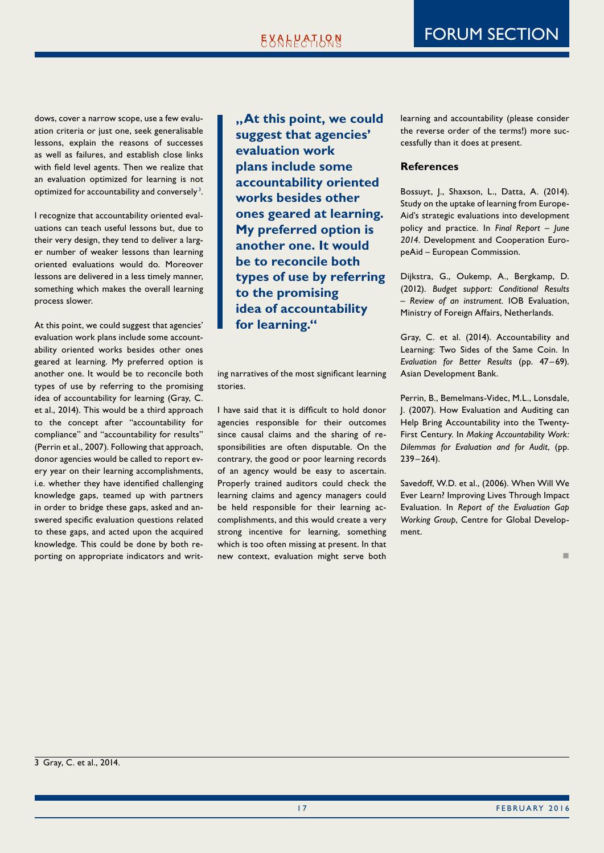dows, cover a narrow scope, use a few evaluation criteria or just one, seek generalisable lessons, explain the reasons of successes as well as failures, and establish close links with field level agents. Then we realize that an evaluation optimized for learning is not optimized for accountability and conversely $^3$ .

I recognize that accountability oriented evaluations can teach useful lessons but, due to their very design, they tend to deliver a larger number of weaker lessons than learning oriented evaluations would do. Moreover lessons are delivered in a less timely manner, something which makes the overall learning process slower.

At this point, we could suggest that agencies' evaluation work plans include some accountability oriented works besides other ones geared at learning. My preferred option is another one. It would be to reconcile both types of use by referring to the promising idea of accountability for learning (Gray, C. et al., 2014). This would be a third approach to the concept after "accountability for compliance" and "accountability for results" (Perrin et al., 2007). Following that approach, donor agencies would be called to report every year on their learning accomplishments, i.e. whether they have identified challenging knowledge gaps, teamed up with partners in order to bridge these gaps, asked and answered specific evaluation questions related to these gaps, and acted upon the acquired knowledge. This could be done by both reporting on appropriate indicators and writ**"At this point, we could suggest that agencies' evaluation work plans include some accountability oriented works besides other ones geared at learning. My preferred option is another one. It would be to reconcile both types of use by referring to the promising idea of accountability for learning."**

ing narratives of the most significant learning stories.

I have said that it is difficult to hold donor agencies responsible for their outcomes since causal claims and the sharing of responsibilities are often disputable. On the contrary, the good or poor learning records of an agency would be easy to ascertain. Properly trained auditors could check the learning claims and agency managers could be held responsible for their learning accomplishments, and this would create a very strong incentive for learning, something which is too often missing at present. In that new context, evaluation might serve both

learning and accountability (please consider the reverse order of the terms!) more successfully than it does at present.

#### **References**

Bossuyt, J., Shaxson, L., Datta, A. (2014). Study on the uptake of learning from Europe-Aid's strategic evaluations into development policy and practice. In *Final Report – June 2014*. Development and Cooperation EuropeAid – European Commission.

Dijkstra, G., Oukemp, A., Bergkamp, D. (2012). *Budget support: Conditional Results – Review of an instrument.* IOB Evaluation, Ministry of Foreign Affairs, Netherlands.

Gray, C. et al. (2014). Accountability and Learning: Two Sides of the Same Coin. In Evaluation for Better Results (pp. 47-69). Asian Development Bank.

Perrin, B., Bemelmans-Videc, M.L., Lonsdale, J. (2007). How Evaluation and Auditing can Help Bring Accountability into the Twenty-First Century. In *Making Accountability Work: Dilemmas for Evaluation and for Audit*, (pp.  $239 - 264$ ).

Savedoff, W.D. et al., (2006). When Will We Ever Learn? Improving Lives Through Impact Evaluation. In *Report of the Evaluation Gap Working Group*, Centre for Global Development.

n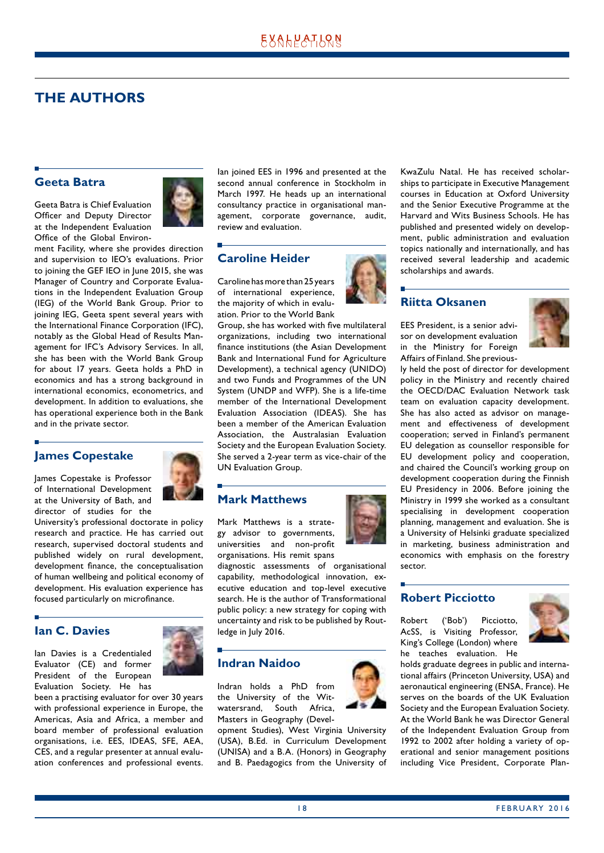# <span id="page-17-0"></span>**THE AUTHORS**

#### **Geeta Batra**

Geeta Batra is Chief Evaluation Officer and Deputy Director at the Independent Evaluation Office of the Global Environ-



ment Facility, where she provides direction and supervision to IEO's evaluations. Prior to joining the GEF IEO in June 2015, she was Manager of Country and Corporate Evaluations in the Independent Evaluation Group (IEG) of the World Bank Group. Prior to joining IEG, Geeta spent several years with the International Finance Corporation (IFC), notably as the Global Head of Results Management for IFC's Advisory Services. In all, she has been with the World Bank Group for about 17 years. Geeta holds a PhD in economics and has a strong background in international economics, econometrics, and development. In addition to evaluations, she has operational experience both in the Bank and in the private sector.

# **James Copestake**

James Copestake is Professor of International Development at the University of Bath, and director of studies for the



University's professional doctorate in policy research and practice. He has carried out research, supervised doctoral students and published widely on rural development, development finance, the conceptualisation of human wellbeing and political economy of development. His evaluation experience has focused particularly on microfinance.

# **Ian C. Davies**

Ian Davies is a Credentialed Evaluator (CE) and former President of the European Evaluation Society. He has



been a practising evaluator for over 30 years with professional experience in Europe, the Americas, Asia and Africa, a member and board member of professional evaluation organisations, i.e. EES, IDEAS, SFE, AEA, CES, and a regular presenter at annual evaluation conferences and professional events. Ian joined EES in 1996 and presented at the second annual conference in Stockholm in March 1997. He heads up an international consultancy practice in organisational management, corporate governance, audit, review and evaluation.

# **Caroline Heider**

Caroline has more than 25 years of international experience, the majority of which in evaluation. Prior to the World Bank

Group, she has worked with five multilateral organizations, including two international finance institutions (the Asian Development Bank and International Fund for Agriculture Development), a technical agency (UNIDO) and two Funds and Programmes of the UN System (UNDP and WFP). She is a life-time member of the International Development Evaluation Association (IDEAS). She has been a member of the American Evaluation Association, the Australasian Evaluation Society and the European Evaluation Society. She served a 2-year term as vice-chair of the UN Evaluation Group.

# **Mark Matthews**

Mark Matthews is a strategy advisor to governments, universities and non-profit organisations. His remit spans

diagnostic assessments of organisational capability, methodological innovation, executive education and top-level executive search. He is the author of Transformational public policy: a new strategy for coping with uncertainty and risk to be published by Routledge in July 2016.

### **Indran Naidoo**

Indran holds a PhD from the University of the Witwatersrand, South Africa, Masters in Geography (Devel-

opment Studies), West Virginia University (USA), B.Ed. in Curriculum Development (UNISA) and a B.A. (Honors) in Geography and B. Paedagogics from the University of



### **Riitta Oksanen**

EES President, is a senior advisor on development evaluation in the Ministry for Foreign Affairs of Finland. She previous-



ly held the post of director for development policy in the Ministry and recently chaired the OECD/DAC Evaluation Network task team on evaluation capacity development. She has also acted as advisor on management and effectiveness of development cooperation; served in Finland's permanent EU delegation as counsellor responsible for EU development policy and cooperation, and chaired the Council's working group on development cooperation during the Finnish EU Presidency in 2006. Before joining the Ministry in 1999 she worked as a consultant specialising in development cooperation planning, management and evaluation. She is a University of Helsinki graduate specialized in marketing, business administration and economics with emphasis on the forestry sector.

### **Robert Picciotto**

Robert ('Bob') Picciotto, AcSS, is Visiting Professor, King's College (London) where he teaches evaluation. He



holds graduate degrees in public and international affairs (Princeton University, USA) and aeronautical engineering (ENSA, France). He serves on the boards of the UK Evaluation Society and the European Evaluation Society. At the World Bank he was Director General of the Independent Evaluation Group from 1992 to 2002 after holding a variety of operational and senior management positions including Vice President, Corporate Plan-

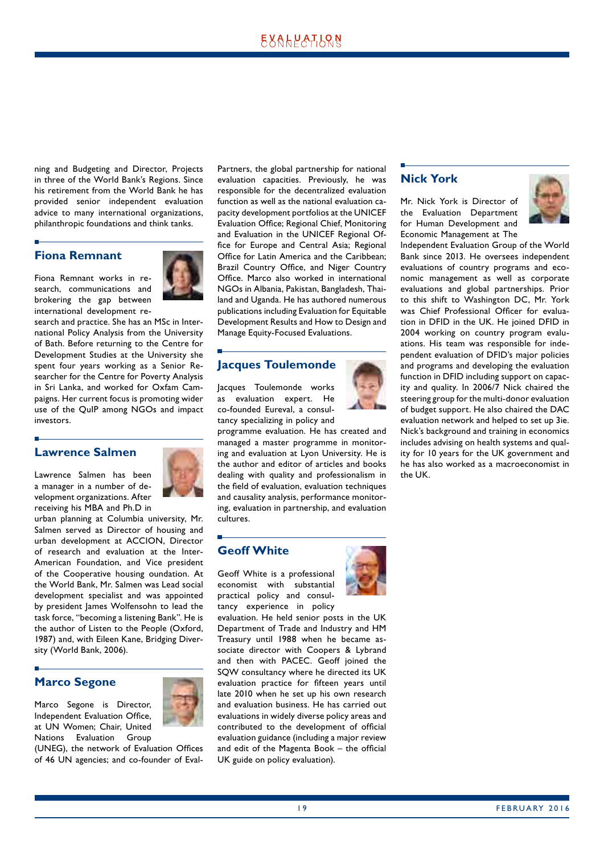ning and Budgeting and Director, Projects in three of the World Bank's Regions. Since his retirement from the World Bank he has provided senior independent evaluation advice to many international organizations, philanthropic foundations and think tanks.

#### **Fiona Remnant**

Fiona Remnant works in research, communications and brokering the gap between international development re-



search and practice. She has an MSc in International Policy Analysis from the University of Bath. Before returning to the Centre for Development Studies at the University she spent four years working as a Senior Researcher for the Centre for Poverty Analysis in Sri Lanka, and worked for Oxfam Campaigns. Her current focus is promoting wider use of the QuIP among NGOs and impact investors.

### **Lawrence Salmen**

Lawrence Salmen has been a manager in a number of development organizations. After receiving his MBA and Ph.D in

urban planning at Columbia university, Mr. Salmen served as Director of housing and urban development at ACCION, Director of research and evaluation at the Inter-American Foundation, and Vice president of the Cooperative housing oundation. At the World Bank, Mr. Salmen was Lead social development specialist and was appointed by president lames Wolfensohn to lead the task force, "becoming a listening Bank". He is the author of Listen to the People (Oxford, 1987) and, with Eileen Kane, Bridging Diversity (World Bank, 2006).

# **Marco Segone**

Marco Segone is Director, Independent Evaluation Office, at UN Women; Chair, United Nations Evaluation Group



(UNEG), the network of Evaluation Offices of 46 UN agencies; and co-founder of EvalPartners, the global partnership for national evaluation capacities. Previously, he was responsible for the decentralized evaluation function as well as the national evaluation capacity development portfolios at the UNICEF Evaluation Office; Regional Chief, Monitoring and Evaluation in the UNICEF Regional Office for Europe and Central Asia; Regional Office for Latin America and the Caribbean; Brazil Country Office, and Niger Country Office. Marco also worked in international NGOs in Albania, Pakistan, Bangladesh, Thailand and Uganda. He has authored numerous publications including Evaluation for Equitable Development Results and How to Design and Manage Equity-Focused Evaluations.

# **Jacques Toulemonde**

Jacques Toulemonde works as evaluation expert. He co-founded Eureval, a consultancy specializing in policy and

programme evaluation. He has created and managed a master programme in monitoring and evaluation at Lyon University. He is the author and editor of articles and books dealing with quality and professionalism in the field of evaluation, evaluation techniques and causality analysis, performance monitoring, evaluation in partnership, and evaluation cultures.

# **Geoff White**

Geoff White is a professional economist with substantial practical policy and consultancy experience in policy



evaluation. He held senior posts in the UK Department of Trade and Industry and HM Treasury until 1988 when he became associate director with Coopers & Lybrand and then with PACEC. Geoff joined the SQW consultancy where he directed its UK evaluation practice for fifteen years until late 2010 when he set up his own research and evaluation business. He has carried out evaluations in widely diverse policy areas and contributed to the development of official evaluation guidance (including a major review and edit of the Magenta Book – the official UK guide on policy evaluation).

#### **Nick York**

Mr. Nick York is Director of the Evaluation Department for Human Development and Economic Management at The



Independent Evaluation Group of the World Bank since 2013. He oversees independent evaluations of country programs and economic management as well as corporate evaluations and global partnerships. Prior to this shift to Washington DC, Mr. York was Chief Professional Officer for evaluation in DFID in the UK. He joined DFID in 2004 working on country program evaluations. His team was responsible for independent evaluation of DFID's major policies and programs and developing the evaluation function in DFID including support on capacity and quality. In 2006/7 Nick chaired the steering group for the multi-donor evaluation of budget support. He also chaired the DAC evaluation network and helped to set up 3ie. Nick's background and training in economics includes advising on health systems and quality for 10 years for the UK government and he has also worked as a macroeconomist in the UK.